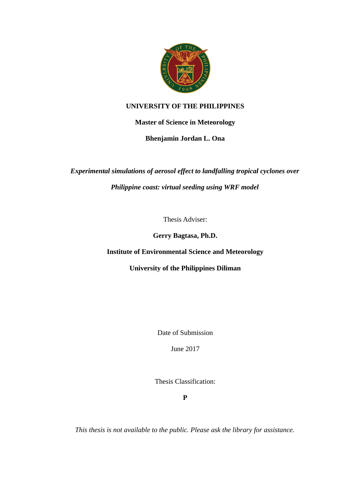

## **UNIVERSITY OF THE PHILIPPINES**

**Master of Science in Meteorology**

**Bhenjamin Jordan L. Ona**

*Experimental simulations of aerosol effect to landfalling tropical cyclones over Philippine coast: virtual seeding using WRF model*

Thesis Adviser:

**Gerry Bagtasa, Ph.D.**

**Institute of Environmental Science and Meteorology**

**University of the Philippines Diliman**

Date of Submission

June 2017

Thesis Classification:

**P**

*This thesis is not available to the public. Please ask the library for assistance.*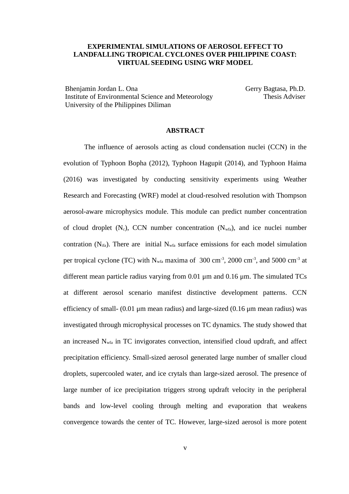## **EXPERIMENTAL SIMULATIONS OF AEROSOL EFFECT TO LANDFALLING TROPICAL CYCLONES OVER PHILIPPINE COAST: VIRTUAL SEEDING USING WRF MODEL**

Bhenjamin Jordan L. Ona Institute of Environmental Science and Meteorology University of the Philippines Diliman

Gerry Bagtasa, Ph.D. Thesis Adviser

## **ABSTRACT**

The influence of aerosols acting as cloud condensation nuclei (CCN) in the evolution of Typhoon Bopha (2012), Typhoon Hagupit (2014), and Typhoon Haima (2016) was investigated by conducting sensitivity experiments using Weather Research and Forecasting (WRF) model at cloud-resolved resolution with Thompson aerosol-aware microphysics module. This module can predict number concentration of cloud droplet  $(N_c)$ , CCN number concentration  $(N_{wfa})$ , and ice nuclei number contration ( $N_{\text{ifa}}$ ). There are initial  $N_{\text{wfa}}$  surface emissions for each model simulation per tropical cyclone (TC) with  $N_{wfa}$  maxima of 300 cm<sup>-3</sup>, 2000 cm<sup>-3</sup>, and 5000 cm<sup>-3</sup> at different mean particle radius varying from 0.01 μm and 0.16 μm. The simulated TCs at different aerosol scenario manifest distinctive development patterns. CCN efficiency of small- (0.01 μm mean radius) and large-sized (0.16 μm mean radius) was investigated through microphysical processes on TC dynamics. The study showed that an increased  $N_{wfa}$  in TC invigorates convection, intensified cloud updraft, and affect precipitation efficiency. Small-sized aerosol generated large number of smaller cloud droplets, supercooled water, and ice crytals than large-sized aerosol. The presence of large number of ice precipitation triggers strong updraft velocity in the peripheral bands and low-level cooling through melting and evaporation that weakens convergence towards the center of TC. However, large-sized aerosol is more potent